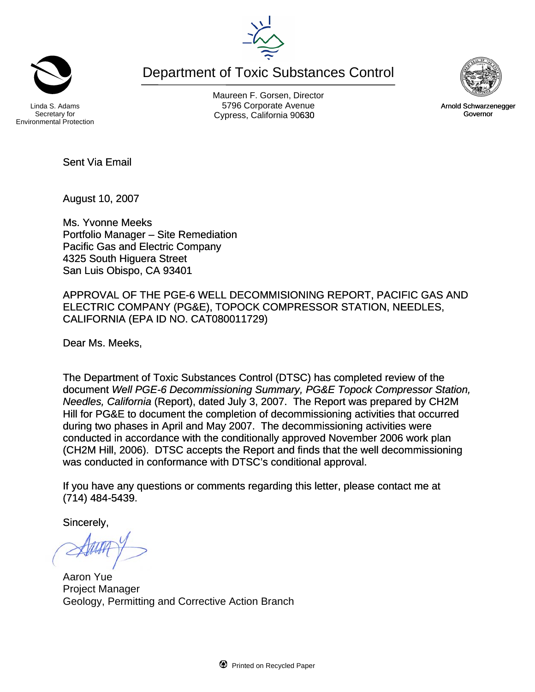

Department of Toxic Substances Control

Secretary for Environmental Protection

Maureen F. Gorsen, Director Linda S. Adams **Example 20 Constructs** S796 Corporate Avenu Cypress, California 90630 Governor



August 10, 2007

Ms. Yvonne Meeks Portfolio Manager – Site Remediation Pacific Gas and Electric Company 4325 South Higuera Street San Luis Obispo, CA 93401

APPROVAL OF THE PGE-6 WELL DECOMMISIONING REPORT, PACIFIC GAS AND ELECTRIC COMPANY (PG&E), TOPOCK COMPRESSOR STATION, NEEDLES, CALIFORNIA (EPA ID NO. CAT080011729)

Dear Ms. Meeks,

The Department of Toxic Substances Control (DTSC) has completed review of the document *Well PGE-6 Decommissioning Summary, PG&E Topock Compressor Station, Needles, California* (Report), dated July 3, 2007. The Report was prepared by CH2M Hill for PG&E to document the completion of decommissioning activities that occurred during two phases in April and May 2007. The decommissioning activities were conducted in accordance with the conditionally approved November 2006 work plan (CH2M Hill, 2006). DTSC accepts the Report and finds that the well decommissioning was conducted in conformance with DTSC's conditional approval.

If you have any questions or comments regarding this letter, please contact me at (714) 484-5439.

Sincerely,

Aaron Yue Project Manager Geology, Permitting and Corrective Action Branch



Arnold Schwarzenegger